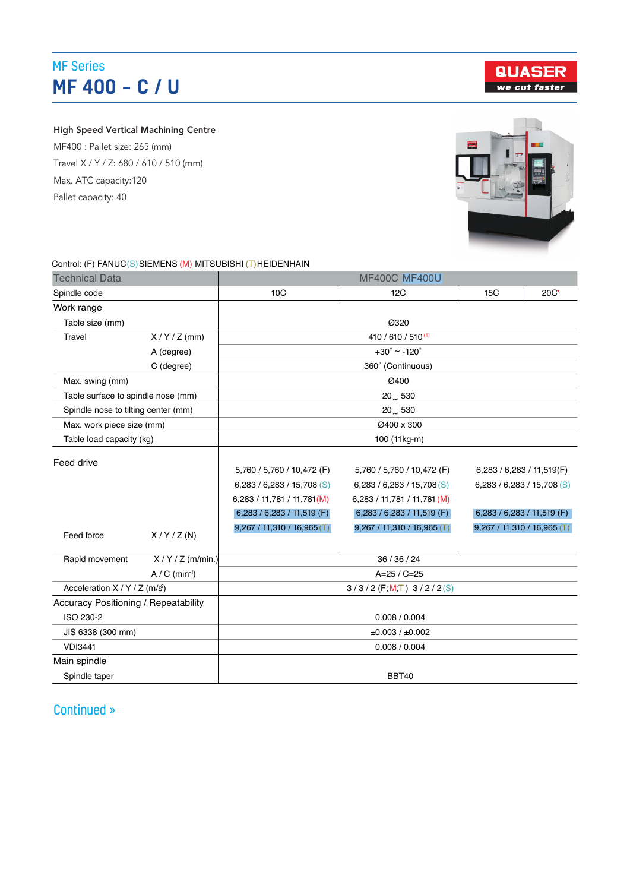## MF Series MF 400 – C / U

**QUASER** we cut faster

### High Speed Vertical Machining Centre

MF400 : Pallet size: 265 (mm) Travel X / Y / Z: 680 / 610 / 510 (mm) Max. ATC capacity:120 Pallet capacity: 40



#### Control: (F) FANUC (S) SIEMENS (M) MITSUBISHI (T)HEIDENHAIN

| <b>Technical Data</b>                       |              | <b>MF400C MF400U</b>                                                                                                                                 |                                                                                                                                                      |                                                                                                                      |  |  |  |  |  |
|---------------------------------------------|--------------|------------------------------------------------------------------------------------------------------------------------------------------------------|------------------------------------------------------------------------------------------------------------------------------------------------------|----------------------------------------------------------------------------------------------------------------------|--|--|--|--|--|
| Spindle code                                |              | 10C                                                                                                                                                  | 12C                                                                                                                                                  | 15C<br>$20C^*$                                                                                                       |  |  |  |  |  |
| Work range                                  |              |                                                                                                                                                      |                                                                                                                                                      |                                                                                                                      |  |  |  |  |  |
| Table size (mm)                             |              | Ø320                                                                                                                                                 |                                                                                                                                                      |                                                                                                                      |  |  |  |  |  |
| Travel                                      | $X/Y/Z$ (mm) | 410 / 610 / 510(1)                                                                                                                                   |                                                                                                                                                      |                                                                                                                      |  |  |  |  |  |
|                                             | A (degree)   | $+30^{\circ} \sim -120^{\circ}$                                                                                                                      |                                                                                                                                                      |                                                                                                                      |  |  |  |  |  |
|                                             | C (degree)   |                                                                                                                                                      | 360° (Continuous)                                                                                                                                    |                                                                                                                      |  |  |  |  |  |
| Max. swing (mm)                             |              | Ø400                                                                                                                                                 |                                                                                                                                                      |                                                                                                                      |  |  |  |  |  |
| Table surface to spindle nose (mm)          |              | $20 - 530$                                                                                                                                           |                                                                                                                                                      |                                                                                                                      |  |  |  |  |  |
| Spindle nose to tilting center (mm)         |              | $20 \sim 530$                                                                                                                                        |                                                                                                                                                      |                                                                                                                      |  |  |  |  |  |
| Max. work piece size (mm)                   |              | Ø400 x 300                                                                                                                                           |                                                                                                                                                      |                                                                                                                      |  |  |  |  |  |
| Table load capacity (kg)                    |              | 100 (11kg-m)                                                                                                                                         |                                                                                                                                                      |                                                                                                                      |  |  |  |  |  |
| Feed drive<br>Feed force                    | X/Y/Z(N)     | 5,760 / 5,760 / 10,472 (F)<br>6,283 / 6,283 / 15,708 (S)<br>6,283 / 11,781 / 11,781 (M)<br>6,283 / 6,283 / 11,519 (F)<br>9,267 / 11,310 / 16,965 (T) | 5,760 / 5,760 / 10,472 (F)<br>6,283 / 6,283 / 15,708 (S)<br>6,283 / 11,781 / 11,781 (M)<br>6,283 / 6,283 / 11,519 (F)<br>9,267 / 11,310 / 16,965 (T) | 6,283 / 6,283 / 11,519(F)<br>6,283 / 6,283 / 15,708 (S)<br>6,283 / 6,283 / 11,519 (F)<br>9,267 / 11,310 / 16,965 (T) |  |  |  |  |  |
| $X/Y/Z$ (m/min.)<br>Rapid movement          |              | 36 / 36 / 24                                                                                                                                         |                                                                                                                                                      |                                                                                                                      |  |  |  |  |  |
| $A / C$ (min-1)                             |              | $A=25 / C=25$                                                                                                                                        |                                                                                                                                                      |                                                                                                                      |  |  |  |  |  |
| Acceleration X / Y / Z (m/s <sup>2</sup> )  |              | $3/3/2$ (F; M, T) $3/2/2$ (S)                                                                                                                        |                                                                                                                                                      |                                                                                                                      |  |  |  |  |  |
| <b>Accuracy Positioning / Repeatability</b> |              |                                                                                                                                                      |                                                                                                                                                      |                                                                                                                      |  |  |  |  |  |
| ISO 230-2                                   |              | 0.008 / 0.004                                                                                                                                        |                                                                                                                                                      |                                                                                                                      |  |  |  |  |  |
| JIS 6338 (300 mm)                           |              | ±0.003 / ±0.002                                                                                                                                      |                                                                                                                                                      |                                                                                                                      |  |  |  |  |  |
| <b>VDI3441</b>                              |              | 0.008 / 0.004                                                                                                                                        |                                                                                                                                                      |                                                                                                                      |  |  |  |  |  |
| Main spindle                                |              |                                                                                                                                                      |                                                                                                                                                      |                                                                                                                      |  |  |  |  |  |
| Spindle taper                               |              | <b>BBT40</b>                                                                                                                                         |                                                                                                                                                      |                                                                                                                      |  |  |  |  |  |

### Tool selection Random Random Random Random Random Random Random Random Random Random Random Random Random Random Random Random Random Random Random Random Random Random Random Random Random Random Random Random Random Rand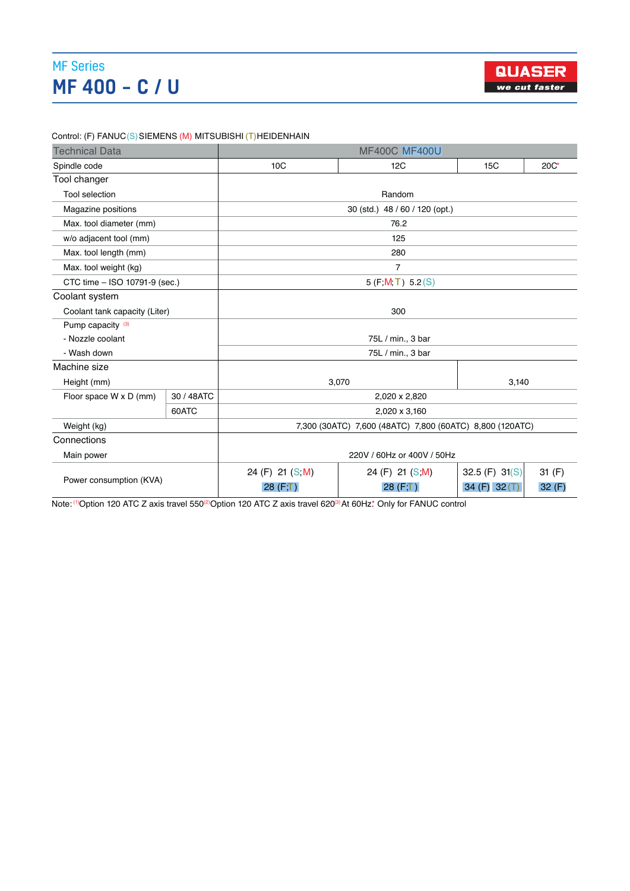#### **A** *MF* Series *C*<sub>25</sub> *C*<sub>25</sub> *C*<sub>25</sub> *C*<sub>25</sub> *C*=25 *C*=25 *C*=25 *C*=25 *C*=25 *C*=25 *C*=25 *C*=25 *C*=25 *C*=25 *C*=25 *C*=25 *C*=25 *C*=25 *C*=25 *C*=25 *C*=25 *C*=25 *C*=25 *C*=25 *C*=25 *C*=25 *C*=25 *C*=25 *C*=25  $\overline{P}$   $\overline{A}$   $\overline{Q}$   $\overline{Q}$   $\overline{Q}$   $\overline{Q}$   $\overline{Q}$   $\overline{Q}$   $\overline{Q}$   $\overline{Q}$   $\overline{Q}$   $\overline{Q}$   $\overline{Q}$   $\overline{Q}$   $\overline{Q}$   $\overline{Q}$   $\overline{Q}$   $\overline{Q}$   $\overline{Q}$   $\overline{Q}$   $\overline{Q}$   $\overline{Q}$   $\overline{Q}$   $\overline{Q}$   $\overline{$ ) 3  $\sim$  7  $\sim$  7  $\sim$  7  $\sim$  7  $\sim$  7  $\sim$  7  $\sim$  7  $\sim$  7  $\sim$  7  $\sim$  7  $\sim$  7  $\sim$  7  $\sim$  7  $\sim$ MF 400 – C / U



Control: (F) FANUC(S)SIEMENS (M) MITSUBISHI (T)HEIDENHAIN

Rapid movement X / Y / Z (m/min.) 36 / 36 / 24

| <b>Technical Data</b>         |            | <b>MF400C MF400U</b>                                     |                            |                                    |                |  |  |  |
|-------------------------------|------------|----------------------------------------------------------|----------------------------|------------------------------------|----------------|--|--|--|
| Spindle code                  |            | 10 <sub>C</sub>                                          | 12C<br>15C                 |                                    |                |  |  |  |
| Tool changer                  |            |                                                          |                            |                                    |                |  |  |  |
| <b>Tool selection</b>         |            | Random                                                   |                            |                                    |                |  |  |  |
| Magazine positions            |            | 30 (std.) 48 / 60 / 120 (opt.)                           |                            |                                    |                |  |  |  |
| Max. tool diameter (mm)       |            | 76.2                                                     |                            |                                    |                |  |  |  |
| w/o adjacent tool (mm)        |            | 125                                                      |                            |                                    |                |  |  |  |
| Max. tool length (mm)         |            |                                                          | 280                        |                                    |                |  |  |  |
| Max. tool weight (kg)         |            | 7                                                        |                            |                                    |                |  |  |  |
| CTC time - ISO 10791-9 (sec.) |            | 5(F, M, T) 5.2(S)                                        |                            |                                    |                |  |  |  |
| Coolant system                |            |                                                          |                            |                                    |                |  |  |  |
| Coolant tank capacity (Liter) |            | 300                                                      |                            |                                    |                |  |  |  |
| Pump capacity (3)             |            |                                                          |                            |                                    |                |  |  |  |
| - Nozzle coolant              |            | 75L / min., 3 bar                                        |                            |                                    |                |  |  |  |
| - Wash down                   |            | 75L / min., 3 bar                                        |                            |                                    |                |  |  |  |
| Machine size                  |            |                                                          |                            |                                    |                |  |  |  |
| Height (mm)                   |            | 3,070<br>3,140                                           |                            |                                    |                |  |  |  |
| Floor space W x D (mm)        | 30 / 48ATC | 2,020 x 2,820                                            |                            |                                    |                |  |  |  |
|                               | 60ATC      | 2,020 x 3,160                                            |                            |                                    |                |  |  |  |
| Weight (kg)                   |            | 7,300 (30ATC) 7,600 (48ATC) 7,800 (60ATC) 8,800 (120ATC) |                            |                                    |                |  |  |  |
| Connections                   |            |                                                          |                            |                                    |                |  |  |  |
| Main power                    |            | 220V / 60Hz or 400V / 50Hz                               |                            |                                    |                |  |  |  |
| Power consumption (KVA)       |            | 24 (F) 21 (S, M)<br>28 (F,T)                             | 24 (F) 21 (S,M)<br>28(F,T) | 32.5 (F) $31(S)$<br>34 (F) $32(T)$ | 31(F)<br>32(F) |  |  |  |

Note: <sup>(1)</sup>Option 120 ATC Z axis travel 550<sup>(2)</sup>Option 120 ATC Z axis travel 620<sup>(3)</sup>At 60Hz.\* Only for FANUC control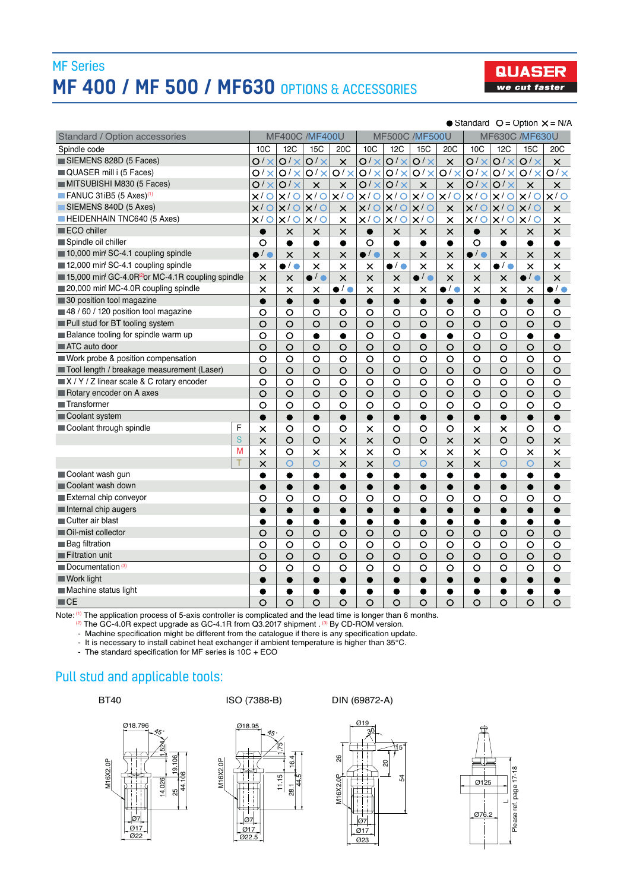## MF Series **MF 400 / MF 500 / MF630 OPTIONS & ACCESSORIES**



#### $\bullet$  Standard  $O =$  Option  $X = N/A$

| <b>Standard / Option accessories</b>                        | <b>MF400C /MF400U</b> |                       | <b>MF500C /MF500U</b> |                       |                       | <b>MF630C /MF630U</b> |                       |                         |                       |                                  |                       |                         |
|-------------------------------------------------------------|-----------------------|-----------------------|-----------------------|-----------------------|-----------------------|-----------------------|-----------------------|-------------------------|-----------------------|----------------------------------|-----------------------|-------------------------|
| Spindle code                                                | 10C                   | 12C                   | 15 <sub>C</sub>       | 20 <sub>C</sub>       | 10C                   | 12C                   | <b>15C</b>            | 20 <sub>C</sub>         | 10C                   | 12C                              | <b>15C</b>            | 20 <sub>C</sub>         |
| SIEMENS 828D (5 Faces)<br>O/X                               |                       | O/X                   | O/X                   | $\times$              | O/X                   | $\overline{O/x}$      | $\overline{O/x}$      | $\overline{\mathsf{x}}$ | O/X                   | O/X                              | O/X                   | $\overline{\mathsf{x}}$ |
| QUASER mill i (5 Faces)                                     |                       | O/X                   | $O/X$ $O/X$           | O/X                   | O/X                   |                       | $O/X$ $O/X$           | O/X                     | O/X                   |                                  | $O/X$ $O/X$           | O/X                     |
| MITSUBISHI M830 (5 Faces)                                   | O/X                   | O/X                   | $\times$              | $\pmb{\times}$        |                       | $O/X$ $O/X$           | $\times$              | $\times$                |                       | $O/X$ $O/X$                      | $\pmb{\times}$        | $\times$                |
| FANUC 31iB5 $(5 \text{ Axes})^{(1)}$                        | $\circ$<br>$\times$ / |                       | $x/O$ $x/O$           | x/0                   | x/O                   |                       | $x/0$ $x/0$           | x/O                     | x/O                   |                                  | $x/O$ $x/O$           | x/0                     |
| SIEMENS 840D (5 Axes)                                       | $\circ$<br>$\times$ / | $x/O$ $x/O$           |                       | $\boldsymbol{\times}$ | x/O                   | $x/O$ $x/O$           |                       | $\times$                | x/O                   | $x/0$ $x/0$                      |                       | $\pmb{\times}$          |
| <b>HEIDENHAIN TNC640 (5 Axes)</b>                           | x/O                   |                       | $x/0$ $x/0$           | $\pmb{\times}$        | x/O                   | $x/O$ $x/O$           |                       | $\times$                | x/O                   | x/O                              | x/O                   | $\times$                |
| ECO chiller                                                 | $\bullet$             | $\times$              | $\times$              | $\times$              | $\bullet$             | $\times$              | $\times$              | $\times$                | $\bullet$             | $\times$                         | $\times$              | $\times$                |
| Spindle oil chiller                                         | $\circ$               | $\bullet$             | $\bullet$             | $\bullet$             | $\circ$               | $\bullet$             | $\bullet$             | $\bullet$               | O                     | $\bullet$                        | $\bullet$             | $\bullet$               |
| 10,000 min SC-4.1 coupling spindle                          | $\bullet$ / $\bullet$ | $\times$              | $\times$              | $\times$              | $\bullet$ / $\bullet$ | $\times$              | $\times$              | $\times$                | $\bullet$ / $\bullet$ | $\times$                         | $\times$              | $\times$                |
| 12,000 min SC-4.1 coupling spindle                          | $\times$              | $\bullet$ / $\bullet$ | $\times$              | $\times$              | $\times$              | $\bullet$ / $\bullet$ | $\times$              | $\times$                | $\times$              | $\overline{\bullet}$ / $\bullet$ | $\pmb{\times}$        | $\times$                |
| 15,000 min GC-4.0R <sup>2</sup> or MC-4.1R coupling spindle | $\times$              | $\times$              | $\bullet$ / $\bullet$ | $\times$              | $\times$              | $\times$              | $\bullet$ / $\bullet$ | $\times$                | $\times$              | $\times$                         | $\bullet$ / $\bullet$ | $\overline{\mathsf{x}}$ |
| 20,000 min MC-4.0R coupling spindle                         | $\times$              | $\times$              | $\times$              | $\bullet$ / $\bullet$ | $\times$              | $\times$              | $\times$              | $\bullet$ / $\bullet$   | $\times$              | $\times$                         | $\times$              | $\bullet$ / $\bullet$   |
| 30 position tool magazine                                   | $\bullet$             | $\bullet$             | $\bullet$             | $\bullet$             | $\bullet$             | $\bullet$             | $\bullet$             | $\bullet$               | $\bullet$             | $\bullet$                        | $\bullet$             | $\bullet$               |
| 48 / 60 / 120 position tool magazine                        | $\circ$               | $\circ$               | $\circ$               | $\circ$               | $\circ$               | $\circ$               | $\circ$               | O                       | O                     | $\circ$                          | $\circ$               | $\circ$                 |
| Pull stud for BT tooling system                             | $\circ$               | $\circ$               | $\circ$               | $\circ$               | $\circ$               | $\circ$               | $\circ$               | $\circ$                 | $\circ$               | $\circ$                          | $\circ$               | $\circ$                 |
| Balance tooling for spindle warm up                         | $\circ$               | $\circ$               | $\bullet$             | $\bullet$             | $\circ$               | $\circ$               | $\bullet$             | $\bullet$               | $\circ$               | $\circ$                          | $\bullet$             | $\bullet$               |
| ATC auto door                                               | $\circ$               | $\circ$               | $\circ$               | $\circ$               | $\circ$               | $\circ$               | $\circ$               | $\circ$                 | $\circ$               | $\circ$                          | $\circ$               | $\circ$                 |
| Work probe & position compensation                          | $\circ$               | $\circ$               | $\circ$               | $\circ$               | $\circ$               | $\circ$               | $\circ$               | $\circ$                 | $\circ$               | $\circ$                          | $\circ$               | $\circ$                 |
| Tool length / breakage measurement (Laser)                  | $\circ$               | $\circ$               | $\circ$               | $\circ$               | $\circ$               | $\circ$               | $\circ$               | $\circ$                 | $\circ$               | $\circ$                          | O                     | $\circ$                 |
| X / Y / Z linear scale & C rotary encoder                   |                       | $\circ$               | $\circ$               | $\circ$               | $\circ$               | $\circ$               | $\circ$               | $\circ$                 | $\circ$               | $\circ$                          | $\circ$               | $\circ$                 |
| Rotary encoder on A axes                                    |                       | $\circ$               | $\circ$               | $\circ$               | $\circ$               | $\circ$               | $\circ$               | $\circ$                 | $\circ$               | $\circ$                          | $\circ$               | $\circ$                 |
| <b>Transformer</b>                                          |                       | $\circ$               | $\circ$               | $\circ$               | $\circ$               | $\circ$               | $\circ$               | $\circ$                 | $\circ$               | $\circ$                          | $\circ$               | $\circ$                 |
| Coolant system                                              | $\bullet$             | $\bullet$             | $\bullet$             | $\bullet$             | $\bullet$             | $\bullet$             | $\bullet$             | $\bullet$               | $\bullet$             | $\bullet$                        | $\bullet$             | $\bullet$               |
| Coolant through spindle<br>F                                | $\times$              | $\circ$               | $\circ$               | $\circ$               | $\times$              | $\circ$               | $\circ$               | O                       | $\times$              | $\times$                         | O                     | $\circ$                 |
| S                                                           | $\times$              | $\circ$               | $\circ$               | $\times$              | $\times$              | $\circ$               | $\circ$               | $\times$                | $\times$              | $\circ$                          | $\circ$               | $\times$                |
| M                                                           | $\times$              | $\circ$               | $\times$              | $\times$              | $\times$              | $\circ$               | $\times$              | $\times$                | $\times$              | $\circ$                          | $\times$              | $\times$                |
| T                                                           | $\times$              | $\overline{O}$        | $\circ$               | $\times$              | $\times$              | $\circ$               | $\circ$               | $\times$                | $\times$              | $\circ$                          | $\overline{O}$        | $\times$                |
| Coolant wash gun                                            |                       | $\bullet$             | $\bullet$             | $\bullet$             | $\bullet$             | $\bullet$             | $\bullet$             | $\bullet$               | $\bullet$             | $\bullet$                        | $\bullet$             | $\bullet$               |
| Coolant wash down                                           |                       | $\bullet$             | $\bullet$             | $\bullet$             | $\bullet$             | $\bullet$             | $\bullet$             | $\bullet$               | $\bullet$             | $\bullet$                        | $\bullet$             | $\bullet$               |
| External chip conveyor                                      |                       | $\circ$               | $\circ$               | $\circ$               | $\circ$               | $\circ$               | $\circ$               | O                       | $\circ$               | O                                | $\circ$               | $\circ$                 |
| Internal chip augers                                        |                       | $\bullet$             | ●                     | ●                     | ●                     | ●                     | $\bullet$             | ●                       | $\bullet$             | ●                                | $\bullet$             | $\bullet$               |
| Cutter air blast                                            |                       | $\bullet$             | $\bullet$             |                       | $\bullet$             | $\bullet$             | $\bullet$             | $\bullet$               | $\bullet$             | $\bullet$                        | $\bullet$             |                         |
| Oil-mist collector                                          |                       | $\circ$               | $\circ$               | $\circ$               | $\circ$               | $\circ$               | $\circ$               | $\circ$                 | $\circ$               | $\circ$                          | $\circ$               | $\circ$                 |
| <b>Bag filtration</b>                                       |                       | $\circ$               | $\circ$               | $\circ$               | $\circ$               | $\circ$               | $\circ$               | $\circ$                 | $\circ$               | $\circ$                          | $\circ$               | $\circ$                 |
| Filtration unit                                             |                       | $\circ$               | $\circ$               | $\circ$               | $\circ$               | O                     | $\circ$               | $\circ$                 | O                     | $\circ$                          | $\circ$               | $\circ$                 |
| Documentation <sup>(3)</sup>                                |                       | $\circ$               | $\circ$               | $\circ$               | O                     | $\circ$               | $\circ$               | $\circ$                 | $\circ$               | $\circ$                          | $\circ$               | $\circ$                 |
| Work light                                                  | ●                     | $\bullet$             | ●                     | $\bullet$             | ●                     | $\bullet$             | $\bullet$             | $\bullet$               | ●                     | $\bullet$                        |                       |                         |
| Machine status light                                        | ●                     | $\bullet$             | $\bullet$             | $\bullet$             | $\bullet$             | $\bullet$             | $\bullet$             | $\bullet$               | $\bullet$             | ●                                | $\bullet$             |                         |
| $\blacksquare$ CE                                           | $\circ$               | $\circ$               | $\circ$               | $\circ$               | $\circ$               | $\circ$               | $\circ$               | $\circ$                 | $\circ$               | $\circ$                          | $\circ$               | $\circ$                 |

Note: <sup>(1)</sup> The application process of 5-axis controller is complicated and the lead time is longer than 6 months.<br><sup>(2)</sup> The GC-4 0B expect upgrade as GC-4 1B from O3 2017 shipment (<sup>3)</sup> By CD-BOM version

The GC-4.0R expect upgrade as GC-4.1R from Q3.2017 shipment . (3) By CD-ROM version.

- Machine specification might be different from the catalogue if there is any specification update.

- It is necessary to install cabinet heat exchanger if ambient temperature is higher than 35°C.

- The standard specification for MF series is 10C + ECO

## Pull stud and applicable tools:



BT40 ISO (7388-B) DIN (69872-A)







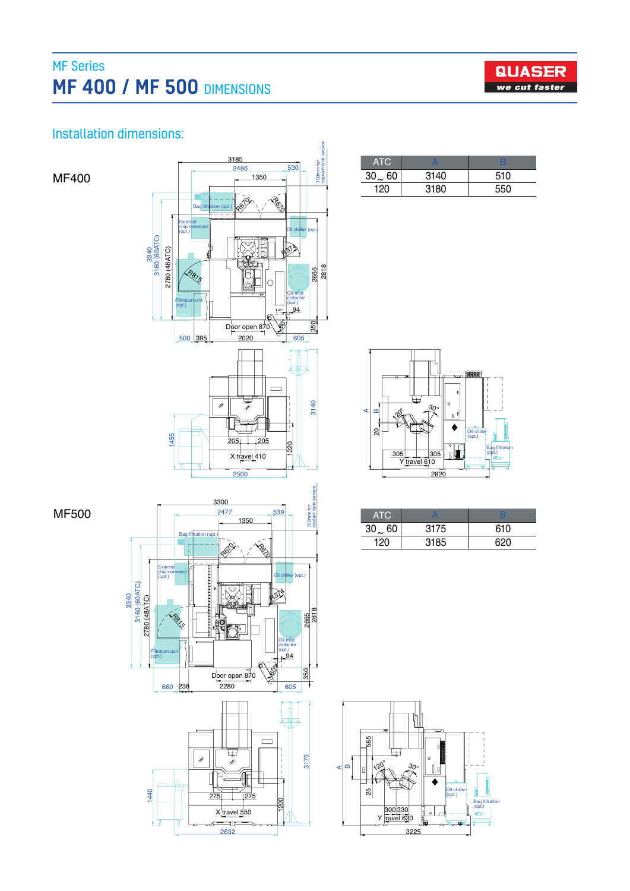# MF Series **MF 400 / MF 500 DIMENSIONS**



## Installation dimensions:

MF400

MF500



| ATC.        |      |     |
|-------------|------|-----|
| $30\sim 60$ | 3140 | 510 |
| 120         | 3180 | 550 |



| ATC          |      |     |
|--------------|------|-----|
| $30 \sim 60$ | 3175 | 610 |
| 120          | 3185 | 620 |